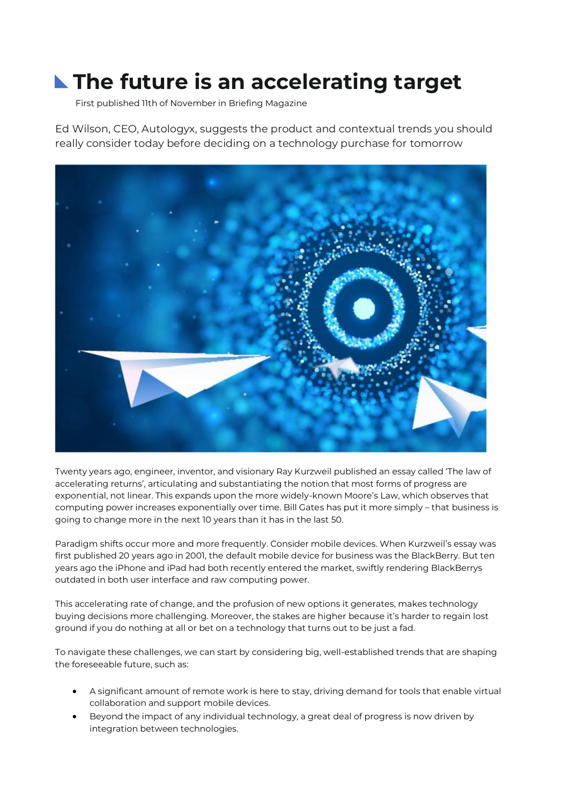## **The future is an accelerating target**

First published 11th of November in Briefing Magazine

Ed Wilson, CEO, Autologyx, suggests the product and contextual trends you should really consider today before deciding on a technology purchase for tomorrow



Twenty years ago, engineer, inventor, and visionary Ray Kurzweil published an essay called 'The law of accelerating returns', articulating and substantiating the notion that most forms of progress are exponential, not linear. This expands upon the more widely-known Moore's Law, which observes that computing power increases exponentially over time. Bill Gates has put it more simply – that business is going to change more in the next 10 years than it has in the last 50.

Paradigm shifts occur more and more frequently. Consider mobile devices. When Kurzweil's essay was first published 20 years ago in 2001, the default mobile device for business was the BlackBerry. But ten years ago the iPhone and iPad had both recently entered the market, swiftly rendering BlackBerrys outdated in both user interface and raw computing power.

This accelerating rate of change, and the profusion of new options it generates, makes technology buying decisions more challenging. Moreover, the stakes are higher because it's harder to regain lost ground if you do nothing at all or bet on a technology that turns out to be just a fad.

To navigate these challenges, we can start by considering big, well-established trends that are shaping the foreseeable future, such as:

- A significant amount of remote work is here to stay, driving demand for tools that enable virtual collaboration and support mobile devices.
- Beyond the impact of any individual technology, a great deal of progress is now driven by integration between technologies.